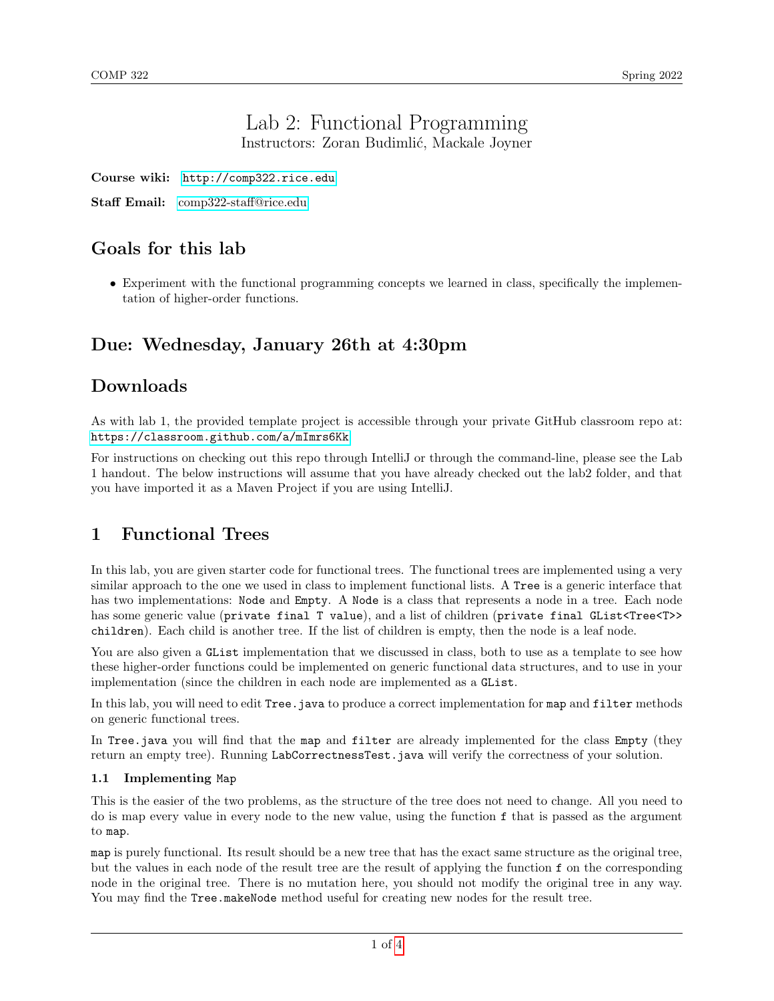### Lab 2: Functional Programming Instructors: Zoran Budimlić, Mackale Joyner

Course wiki: <http://comp322.rice.edu>

Staff Email: [comp322-staff@rice.edu](mailto:comp322-staff@rice.edu)

# Goals for this lab

• Experiment with the functional programming concepts we learned in class, specifically the implementation of higher-order functions.

# Due: Wednesday, January 26th at 4:30pm

## Downloads

As with lab 1, the provided template project is accessible through your private GitHub classroom repo at: <https://classroom.github.com/a/mImrs6Kk>

For instructions on checking out this repo through IntelliJ or through the command-line, please see the Lab 1 handout. The below instructions will assume that you have already checked out the lab2 folder, and that you have imported it as a Maven Project if you are using IntelliJ.

# 1 Functional Trees

In this lab, you are given starter code for functional trees. The functional trees are implemented using a very similar approach to the one we used in class to implement functional lists. A Tree is a generic interface that has two implementations: Node and Empty. A Node is a class that represents a node in a tree. Each node has some generic value (private final T value), and a list of children (private final GList<Tree<T>>>>>>> children). Each child is another tree. If the list of children is empty, then the node is a leaf node.

You are also given a GList implementation that we discussed in class, both to use as a template to see how these higher-order functions could be implemented on generic functional data structures, and to use in your implementation (since the children in each node are implemented as a GList.

In this lab, you will need to edit Tree. java to produce a correct implementation for map and filter methods on generic functional trees.

In Tree.java you will find that the map and filter are already implemented for the class Empty (they return an empty tree). Running LabCorrectnessTest.java will verify the correctness of your solution.

### 1.1 Implementing Map

This is the easier of the two problems, as the structure of the tree does not need to change. All you need to do is map every value in every node to the new value, using the function f that is passed as the argument to map.

map is purely functional. Its result should be a new tree that has the exact same structure as the original tree, but the values in each node of the result tree are the result of applying the function f on the corresponding node in the original tree. There is no mutation here, you should not modify the original tree in any way. You may find the Tree.makeNode method useful for creating new nodes for the result tree.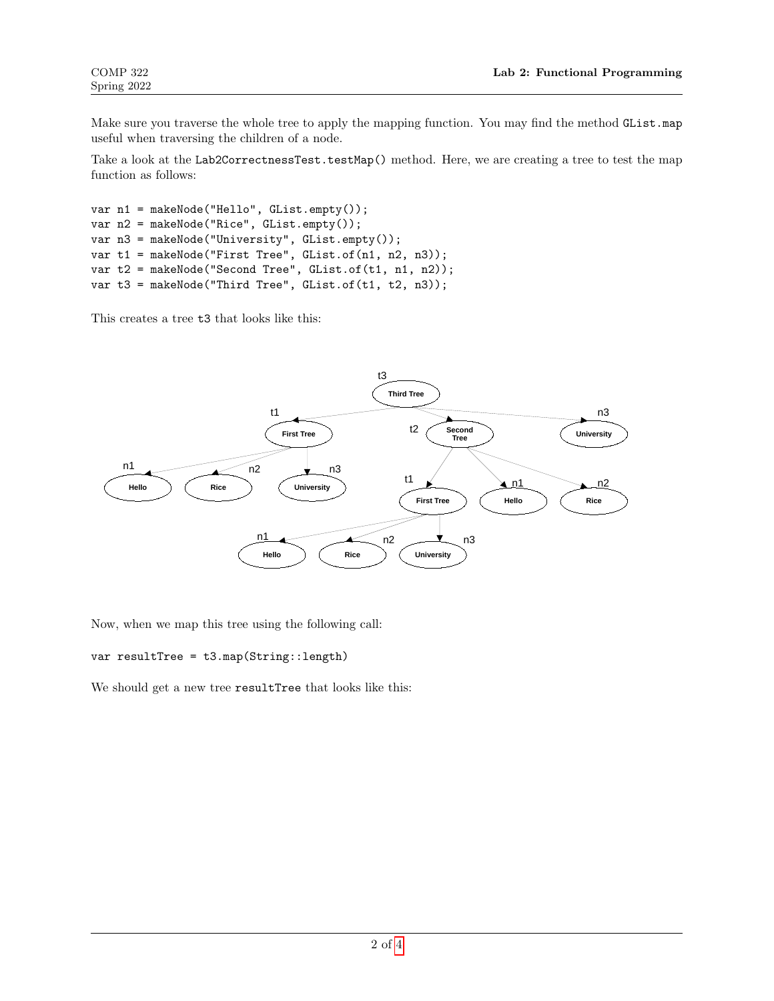Make sure you traverse the whole tree to apply the mapping function. You may find the method GList.map useful when traversing the children of a node.

Take a look at the Lab2CorrectnessTest.testMap() method. Here, we are creating a tree to test the map function as follows:

```
var n1 = makeNode("Hello", GList.empty());
var n2 = makeNode("Rice", GList.empty());
var n3 = makeNode("University", GList.empty());
var t1 = makeNode("First Tree", GList.of(n1, n2, n3));
var t2 = makeNode("Second Tree", GList.of(t1, n1, n2));
var t3 = makeNode("Third Tree", GList.of(t1, t2, n3));
```
This creates a tree t3 that looks like this:



Now, when we map this tree using the following call:

var resultTree = t3.map(String::length)

We should get a new tree resultTree that looks like this: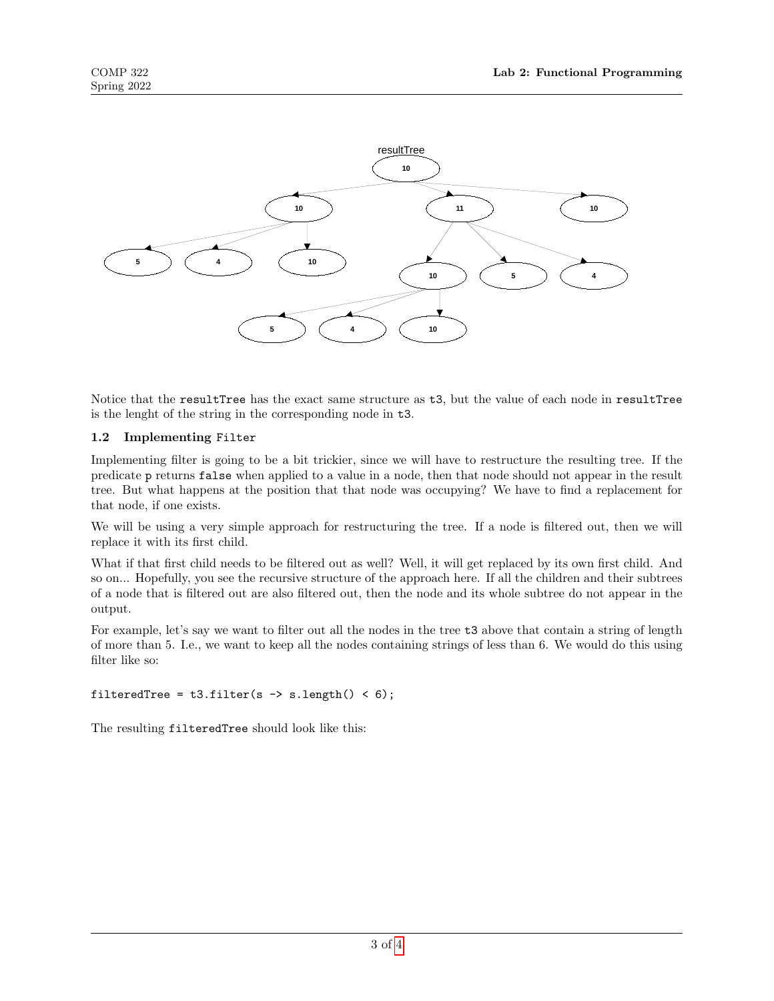

Notice that the resultTree has the exact same structure as t3, but the value of each node in resultTree is the lenght of the string in the corresponding node in t3.

### 1.2 Implementing Filter

Implementing filter is going to be a bit trickier, since we will have to restructure the resulting tree. If the predicate p returns false when applied to a value in a node, then that node should not appear in the result tree. But what happens at the position that that node was occupying? We have to find a replacement for that node, if one exists.

We will be using a very simple approach for restructuring the tree. If a node is filtered out, then we will replace it with its first child.

What if that first child needs to be filtered out as well? Well, it will get replaced by its own first child. And so on... Hopefully, you see the recursive structure of the approach here. If all the children and their subtrees of a node that is filtered out are also filtered out, then the node and its whole subtree do not appear in the output.

For example, let's say we want to filter out all the nodes in the tree t3 above that contain a string of length of more than 5. I.e., we want to keep all the nodes containing strings of less than 6. We would do this using filter like so:

#### filteredTree =  $t3.filter(s \rightarrow s.length() < 6);$

The resulting filteredTree should look like this: